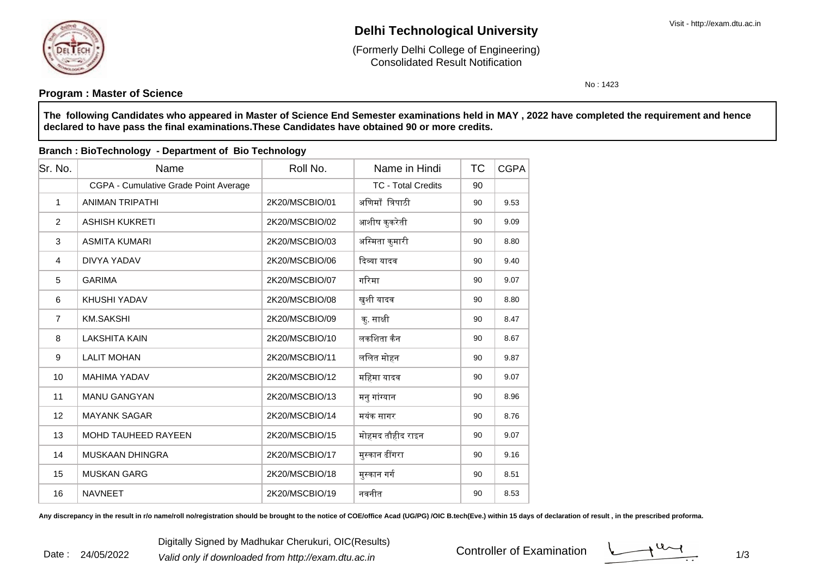

# **Delhi Technological University**

Consolidated Result Notification(Formerly Delhi College of Engineering)

No : 1423

### **Program : Master of Science**

**The following Candidates who appeared in Master of Science End Semester examinations held in MAY , 2022 have completed the requirement and hencedeclared to have pass the final examinations.These Candidates have obtained 90 or more credits.**

| Sr. No.        | Name                                  | Roll No.       | Name in Hindi             | <b>TC</b> | <b>CGPA</b> |
|----------------|---------------------------------------|----------------|---------------------------|-----------|-------------|
|                | CGPA - Cumulative Grade Point Average |                | <b>TC - Total Credits</b> | 90        |             |
| $\mathbf{1}$   | <b>ANIMAN TRIPATHI</b>                | 2K20/MSCBIO/01 | अणिमाँ त्रिपाठी           | 90        | 9.53        |
| $\overline{2}$ | <b>ASHISH KUKRETI</b>                 | 2K20/MSCBIO/02 | आशीष कुकरेती              | 90        | 9.09        |
| 3              | <b>ASMITA KUMARI</b>                  | 2K20/MSCBIO/03 | अस्मिता कुमारी            | 90        | 8.80        |
| 4              | DIVYA YADAV                           | 2K20/MSCBIO/06 | दिव्या यादव               | 90        | 9.40        |
| 5              | <b>GARIMA</b>                         | 2K20/MSCBIO/07 | गरिमा                     | 90        | 9.07        |
| 6              | KHUSHI YADAV                          | 2K20/MSCBIO/08 | खुशी यादव                 | 90        | 8.80        |
| $\overline{7}$ | <b>KM.SAKSHI</b>                      | 2K20/MSCBIO/09 | क्. साक्षी                | 90        | 8.47        |
| 8              | <b>LAKSHITA KAIN</b>                  | 2K20/MSCBIO/10 | लकशिता कैन                | 90        | 8.67        |
| 9              | <b>LALIT MOHAN</b>                    | 2K20/MSCBIO/11 | ललित मोहन                 | 90        | 9.87        |
| 10             | <b>MAHIMA YADAV</b>                   | 2K20/MSCBIO/12 | महिमा यादव                | 90        | 9.07        |
| 11             | <b>MANU GANGYAN</b>                   | 2K20/MSCBIO/13 | मनु गांग्यान              | 90        | 8.96        |
| 12             | <b>MAYANK SAGAR</b>                   | 2K20/MSCBIO/14 | मयंक सागर                 | 90        | 8.76        |
| 13             | <b>MOHD TAUHEED RAYEEN</b>            | 2K20/MSCBIO/15 | मोहमद तौहीद राइन          | 90        | 9.07        |
| 14             | <b>MUSKAAN DHINGRA</b>                | 2K20/MSCBIO/17 | मुस्कान ढींगरा            | 90        | 9.16        |
| 15             | <b>MUSKAN GARG</b>                    | 2K20/MSCBIO/18 | मुस्कान गर्ग              | 90        | 8.51        |
| 16             | <b>NAVNEET</b>                        | 2K20/MSCBIO/19 | नवनीत                     | 90        | 8.53        |

#### **Branch : BioTechnology - Department of Bio Technology**

Any discrepancy in the result in r/o name/roll no/registration should be brought to the notice of COE/office Acad (UG/PG) /OIC B.tech(Eve.) within 15 days of declaration of result, in the prescribed proforma.

Controller of Examination

 $1/3$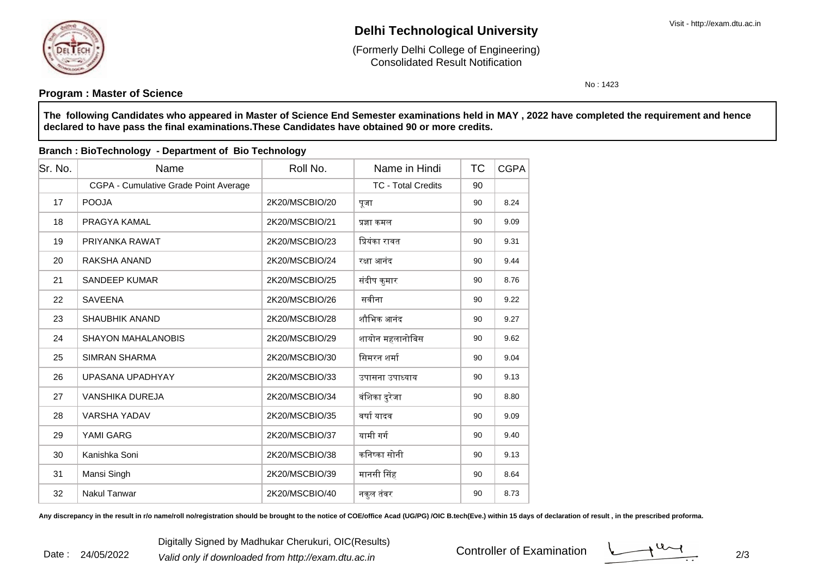

Date : 24/05/2022

# **Delhi Technological University**

Consolidated Result Notification(Formerly Delhi College of Engineering)

No : 1423

### **Program : Master of Science**

**The following Candidates who appeared in Master of Science End Semester examinations held in MAY , 2022 have completed the requirement and hencedeclared to have pass the final examinations.These Candidates have obtained 90 or more credits.**

#### Sr. No. Name Roll No. TCName in HindiTC CGPA CGPA - Cumulative Grade Point Average <sup>90</sup> TC - Total Credits17 POOJA 2K20/MSCBIO/20 पूजा <sup>90</sup> 8.24 18 PRAGYA KAMAL 2K20/MSCBIO/21 ᮧ᭄ा कमल <sup>90</sup> 9.09 19 PRIYANKA RAWAT 2K20/MSCBIO/23 िᮧयंका रावत <sup>90</sup> 9.31 20 RAKSHA ANAND2K20/MSCBIO/24 रिक्षा आनंद 90 9.44 21 SANDEEP KUMAR 2K20/MSCBIO/25 संदीप कुमार <sup>90</sup> 8.76 22 SAVEENA 2K20/MSCBIO/26 सवीना <sup>90</sup> 9.22 23 SHAUBHIK ANAND 2K20/MSCBIO/28 शौिभक आनंद <sup>90</sup> 9.27 24 SHAYON MAHALANOBIS2K20/MSCBIO/29 शायोन महलानोबिस | 90 | 9.62 25 SIMRAN SHARMA2K20/MSCBIO/30 R समरन शर्मा 90 9.04 26 UPASANA UPADHYAY 2K20/MSCBIO/33 उपासना उपा᭟याय <sup>90</sup> 9.13 27 VANSHIKA DUREJA2K20/MSCBIO/34 | वंशिका दुरेजा | 90 | 8.80 28 VARSHA YADAV 2K20/MSCBIO/35 वषाᭅ यादव <sup>90</sup> 9.09 29 YAMI GARG 2K20/MSCBIO/37 यामी गगᭅ <sup>90</sup> 9.40 30 Kanishka Soni 2K20/MSCBIO/38 किन᭬का सोनी <sup>90</sup> 9.13 31 Mansi Singh 2K20/MSCBIO/39 मानसी ᳲसहह | 90 | 8.64 32Nakul Tanwar 2K20/MSCBIO/40 नकुल तंवर <sup>90</sup> 8.73

**Branch : BioTechnology - Department of Bio Technology**

Any discrepancy in the result in r/o name/roll no/registration should be brought to the notice of COE/office Acad (UG/PG) /OIC B.tech(Eve.) within 15 days of declaration of result, in the prescribed proforma.

Digitally Signed by Madhukar Cherukuri, OIC(Results)<br><sup>2</sup> Valid only if downloaded from http://exam.dtu.ac.in Controller of Examination

Controller of Examination

 $\frac{1}{2}$  2/3